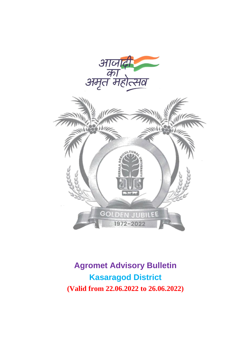



**Agromet Advisory Bulletin Kasaragod District (Valid from 22.06.2022 to 26.06.2022)**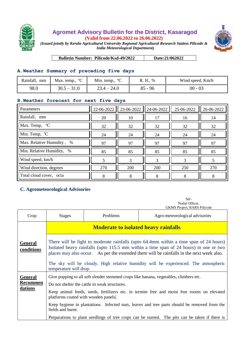

## **Agromet Advisory Bulletin for the District, Kasaragod (Valid from 22.06.2022 to 26.06.2022)**



*(Issued jointly by Kerala Agricultural University Regional Agricultural Research Station Pilicode & India Meteorological Department)*

**Bulletin Number: Pilicode/Ksd-49/2022 Date:21/062022** 

## **A.Weather Summary of preceding five days**

| Rainfall,<br>mm | Max. temp., $^{\circ}C$ | $\rm ^{o}C$<br>Min. temp., | R. H., %  | Wind speed, Km/h |
|-----------------|-------------------------|----------------------------|-----------|------------------|
| 98.0            | $30.5 - 31.0$           | - 24.0                     | $85 - 96$ | $00 - 03$        |

## **B.Weather forecast for next five days**

| Parameters                | 22-06-2022 | 23-06-2022 | 24-06-2022 | 25-06-2022 | 26-06-2022 |
|---------------------------|------------|------------|------------|------------|------------|
| Rainfall, mm              | 20         | 10         | 17         | 16         | 14         |
| Max. Temp, °C             | 32         | 32         | 32         | 32         | 32         |
| Min. Temp, <sup>o</sup> C | 24         | 24         | 24         | 24         | 24         |
| Max. Relative Humidity, % | 97         | 97         | 97         | 97         | 97         |
| Min. Relative Humidity, % | 85         | 85         | 85         | 85         | 85         |
| Wind speed, km/h          |            | 3          | 3          | 3          |            |
| Wind direction, degrees   | 270        | 200        | 200        | 250        | 270        |
| Total cloud cover, octa   | 8          | 8          | 8          | 8          | 8          |

## **C. Agrometeorological Advisories**

Sd/- Nodal Officer, GKMS Project, RARS Pilicode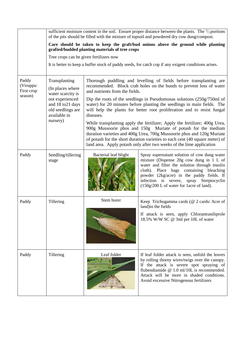|                                             | sufficient moisture content in the soil. Ensure proper distance between the plants. The $\frac{2}{3}$ portions<br>of the pits should be filled with the mixture of topsoil and powdered dry cow dung/compost.    |                                                                                                                                                                                                                                                                                                                                                                               |                                                                                                                                                                                                                                                                                                                          |  |
|---------------------------------------------|------------------------------------------------------------------------------------------------------------------------------------------------------------------------------------------------------------------|-------------------------------------------------------------------------------------------------------------------------------------------------------------------------------------------------------------------------------------------------------------------------------------------------------------------------------------------------------------------------------|--------------------------------------------------------------------------------------------------------------------------------------------------------------------------------------------------------------------------------------------------------------------------------------------------------------------------|--|
|                                             | Care should be taken to keep the graft/bud unions above the ground while planting<br>grafted/budded planting materials of tree crops                                                                             |                                                                                                                                                                                                                                                                                                                                                                               |                                                                                                                                                                                                                                                                                                                          |  |
|                                             | Tree crops can be given fertilizers now                                                                                                                                                                          |                                                                                                                                                                                                                                                                                                                                                                               |                                                                                                                                                                                                                                                                                                                          |  |
|                                             | It is better to keep a buffer stock of paddy seeds, for catch cop if any exigent conditions arises.                                                                                                              |                                                                                                                                                                                                                                                                                                                                                                               |                                                                                                                                                                                                                                                                                                                          |  |
| Paddy<br>(Viruppu:<br>First crop<br>season) | Transplanting<br>Thorough puddling and levelling of fields before transplanting are<br>recommended. Block crab holes on the bunds to prevent loss of water<br>(In places where<br>and nutrients from the fields. |                                                                                                                                                                                                                                                                                                                                                                               |                                                                                                                                                                                                                                                                                                                          |  |
|                                             | water scarcity is<br>not experienced<br>and 18 to 21 days<br>old seedlings are<br>available in                                                                                                                   | Dip the roots of the seedlings in Pseudomonas solutions $(250g/750m)$ of<br>water) for 20 minutes before planting the seedlings in main fields. The<br>will help the plants for better root proliferation and to resist fungal<br>diseases.                                                                                                                                   |                                                                                                                                                                                                                                                                                                                          |  |
|                                             | nursery)                                                                                                                                                                                                         | While transplanting apply the fertilizer; Apply the fertilizer; 400g Urea,<br>900g Mussoorie phos and 150g Muriate of potash for the medium<br>duration varieties and 400g Urea, 700g Mussoorie phos and 120g Muriate<br>of potash for the short duration varieties to each cent (40 square meter) of<br>land area. Apply potash only after two weeks of the lime application |                                                                                                                                                                                                                                                                                                                          |  |
| Paddy                                       | Seedling/tillering<br>stage                                                                                                                                                                                      | Bacterial leaf blight                                                                                                                                                                                                                                                                                                                                                         | Spray supernatant solution of cow dung water<br>mixture (Dispense 20g cow dung in 1 L of<br>water and filter the solution through muslin<br>cloth). Place bags containing bleaching<br>powder (2kg/acre) in the paddy fields. If<br>infection is severe, spray Streptocyclin<br>(150g/200 L of water for 1acre of land). |  |
| Paddy                                       | Tillering                                                                                                                                                                                                        | Stem borer                                                                                                                                                                                                                                                                                                                                                                    | Keep Trichogamma cards (@ 2 cards/ Acre of<br>land) in the fields                                                                                                                                                                                                                                                        |  |
|                                             |                                                                                                                                                                                                                  |                                                                                                                                                                                                                                                                                                                                                                               | If attack is seen, apply Chlorantraniliprole<br>18.5% W/W SC @ 3ml per 10L of water                                                                                                                                                                                                                                      |  |
| Paddy                                       | Tillering                                                                                                                                                                                                        | Leaf folder                                                                                                                                                                                                                                                                                                                                                                   | If leaf folder attack is seen, unfold the leaves<br>by rolling thorny wires/twigs over the canopy.<br>If the attack is severe spot spraying of<br>flubendiamide $@1.0$ ml/10L is recommended.<br>Attack will be more in shaded conditions.<br>Avoid excessive Nitrogenous fertilizers                                    |  |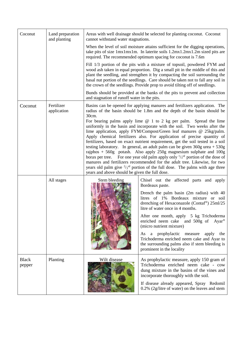| Coconut                | Land preparation<br>and planting | Areas with well drainage should be selected for planting coconut. Coconut<br>cannot withstand water stagnations.<br>When the level of soil moisture attains sufficient for the digging operations,<br>take pits of size 1mx1mx1m. In laterite soils 1.2mx1.2mx1.2m sized pits are<br>required. The recommended optimum spacing for coconut is 7.6m<br>Fill 1/3 portion of the pits with a mixture of topsoil, powdered FYM and<br>wood ash taken in equal proportion. Dig a small pit in the middle of this and<br>plant the seedling, and strengthen it by compacting the soil surrounding the<br>basal nut portion of the seedlings. Care should be taken not to fall any soil in<br>the crown of the seedlings. Provide prop to avoid tilting off of seedlings.<br>Bunds should be provided at the banks of the pits to prevent and collection<br>and stagnation of runoff water in the pits. |                                                                                                                                                                                                                                                                                |  |
|------------------------|----------------------------------|--------------------------------------------------------------------------------------------------------------------------------------------------------------------------------------------------------------------------------------------------------------------------------------------------------------------------------------------------------------------------------------------------------------------------------------------------------------------------------------------------------------------------------------------------------------------------------------------------------------------------------------------------------------------------------------------------------------------------------------------------------------------------------------------------------------------------------------------------------------------------------------------------|--------------------------------------------------------------------------------------------------------------------------------------------------------------------------------------------------------------------------------------------------------------------------------|--|
|                        |                                  |                                                                                                                                                                                                                                                                                                                                                                                                                                                                                                                                                                                                                                                                                                                                                                                                                                                                                                  |                                                                                                                                                                                                                                                                                |  |
|                        |                                  |                                                                                                                                                                                                                                                                                                                                                                                                                                                                                                                                                                                                                                                                                                                                                                                                                                                                                                  |                                                                                                                                                                                                                                                                                |  |
|                        |                                  |                                                                                                                                                                                                                                                                                                                                                                                                                                                                                                                                                                                                                                                                                                                                                                                                                                                                                                  |                                                                                                                                                                                                                                                                                |  |
| Coconut                | Fertilizer<br>application        | Basins can be opened for applying manures and fertilizers application. The<br>radius of the basin should be 1.8m and the depth of the basin should be<br>30cm.                                                                                                                                                                                                                                                                                                                                                                                                                                                                                                                                                                                                                                                                                                                                   |                                                                                                                                                                                                                                                                                |  |
|                        |                                  | For bearing palms apply lime $@1$ to 2 kg per palm. Spread the lime<br>uniformly in the basin and incorporate with the soil. Two weeks after the<br>lime application, apply FYM/Compost/Green leaf manures @ 25kg/palm.<br>Apply chemical fertilizers also. For application of precise quantity of<br>fertilizers, based on exact nutrient requirement, get the soil tested in a soil<br>testing laboratory. In general, an adult palm can be given $360g$ urea $+ 530g$<br>rajphos + $560g$ potash. Also apply $250g$ magnesium sulphate and $100g$<br>borax per tree. For one year old palm apply only $\frac{1}{3}$ <sup>rd</sup> portion of the dose of<br>manures and fertilizers recommended for the adult tree. Likewise, for two<br>years old palm give $\frac{2}{3}$ <sup>rd</sup> portion of the full dose. The palms with age three<br>years and above should be given the full dose. |                                                                                                                                                                                                                                                                                |  |
|                        | All stages                       | Stem bleeding                                                                                                                                                                                                                                                                                                                                                                                                                                                                                                                                                                                                                                                                                                                                                                                                                                                                                    | Chisel out the affected parts and apply<br>Bordeaux paste.                                                                                                                                                                                                                     |  |
|                        |                                  |                                                                                                                                                                                                                                                                                                                                                                                                                                                                                                                                                                                                                                                                                                                                                                                                                                                                                                  | Drench the palm basin (2m radius) with 40<br>litres of 1% Bordeaux mixture or soil<br>drenching of Hexaconazole (Contaf®) 25ml/25<br>litre of water once in 4 months.                                                                                                          |  |
|                        |                                  |                                                                                                                                                                                                                                                                                                                                                                                                                                                                                                                                                                                                                                                                                                                                                                                                                                                                                                  | After one month, apply 5 kg Trichoderma<br>enriched neem cake and 500g of Ayar®<br>(micro nutrient mixture)                                                                                                                                                                    |  |
|                        |                                  | prophylactic measure<br>As<br>apply<br>the<br>a<br>Trichoderma enriched neem cake and Ayar to<br>the surrounding palms also if stem bleeding is<br>prominent in the locality                                                                                                                                                                                                                                                                                                                                                                                                                                                                                                                                                                                                                                                                                                                     |                                                                                                                                                                                                                                                                                |  |
| <b>Black</b><br>pepper | Planting                         | Wilt disease                                                                                                                                                                                                                                                                                                                                                                                                                                                                                                                                                                                                                                                                                                                                                                                                                                                                                     | As prophylactic measure, apply 150 gram of<br>Trichoderma enriched neem cake - cow<br>dung mixture in the basins of the vines and<br>incorporate thoroughly with the soil.<br>If disease already appeared, Spray Redomil<br>$0.2\%$ (2g/litre of water) on the leaves and stem |  |